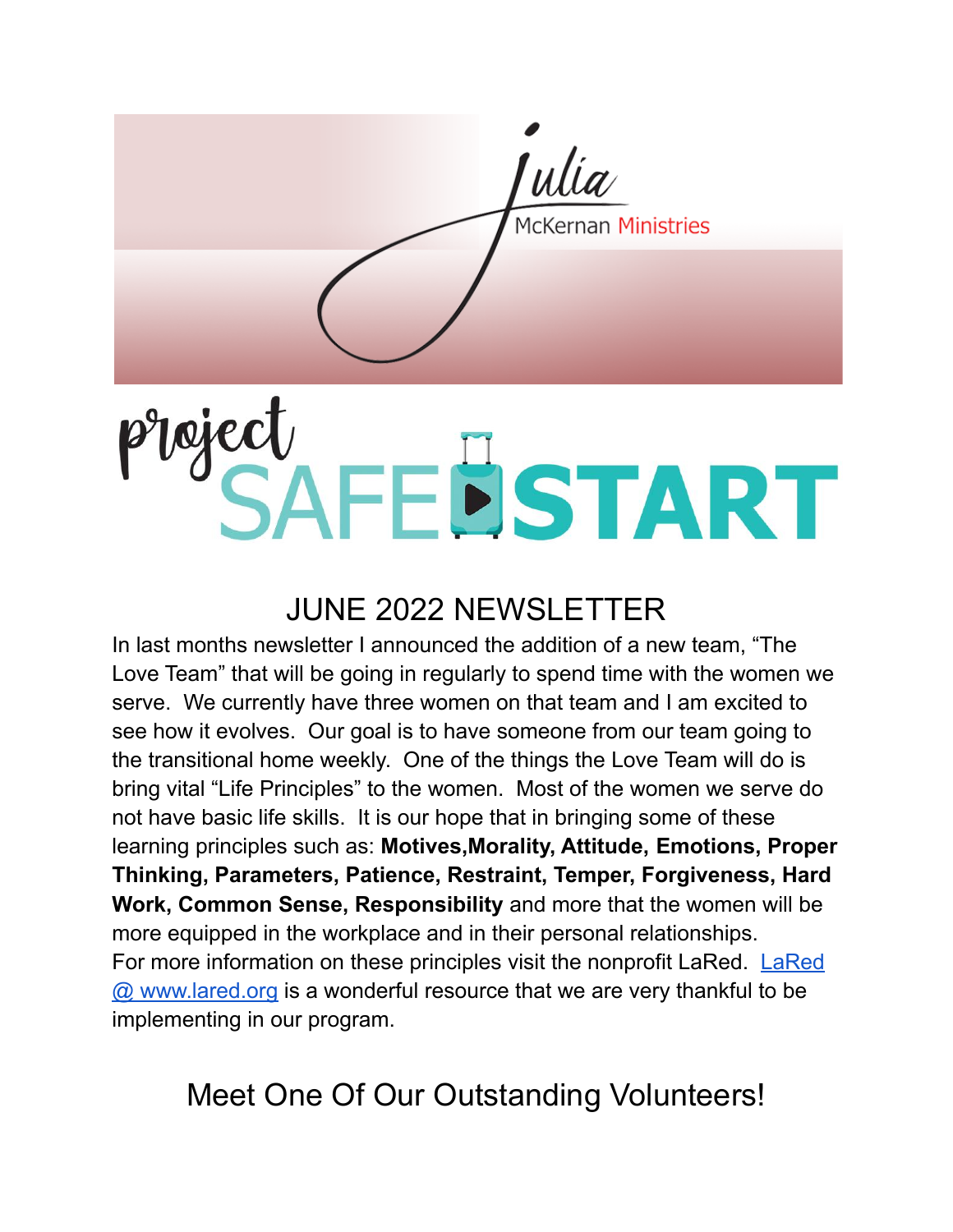ulia McKernan Ministries

# Ploject<br>SAFEBSTART

### **JUNE 2022 NEWSLETTER**

In last months newsletter I announced the addition of a new team, "The Love Team" that will be going in regularly to spend time with the women we serve. We currently have three women on that team and I am excited to see how it evolves. Our goal is to have someone from our team going to the transitional home weekly. One of the things the Love Team will do is bring vital "Life Principles" to the women. Most of the women we serve do not have basic life skills. It is our hope that in bringing some of these learning principles such as: Motives, Morality, Attitude, Emotions, Proper Thinking, Parameters, Patience, Restraint, Temper, Forgiveness, Hard Work, Common Sense, Responsibility and more that the women will be more equipped in the workplace and in their personal relationships. For more information on these principles visit the nonprofit LaRed. LaRed @ www.lared.org is a wonderful resource that we are very thankful to be implementing in our program.

Meet One Of Our Outstanding Volunteers!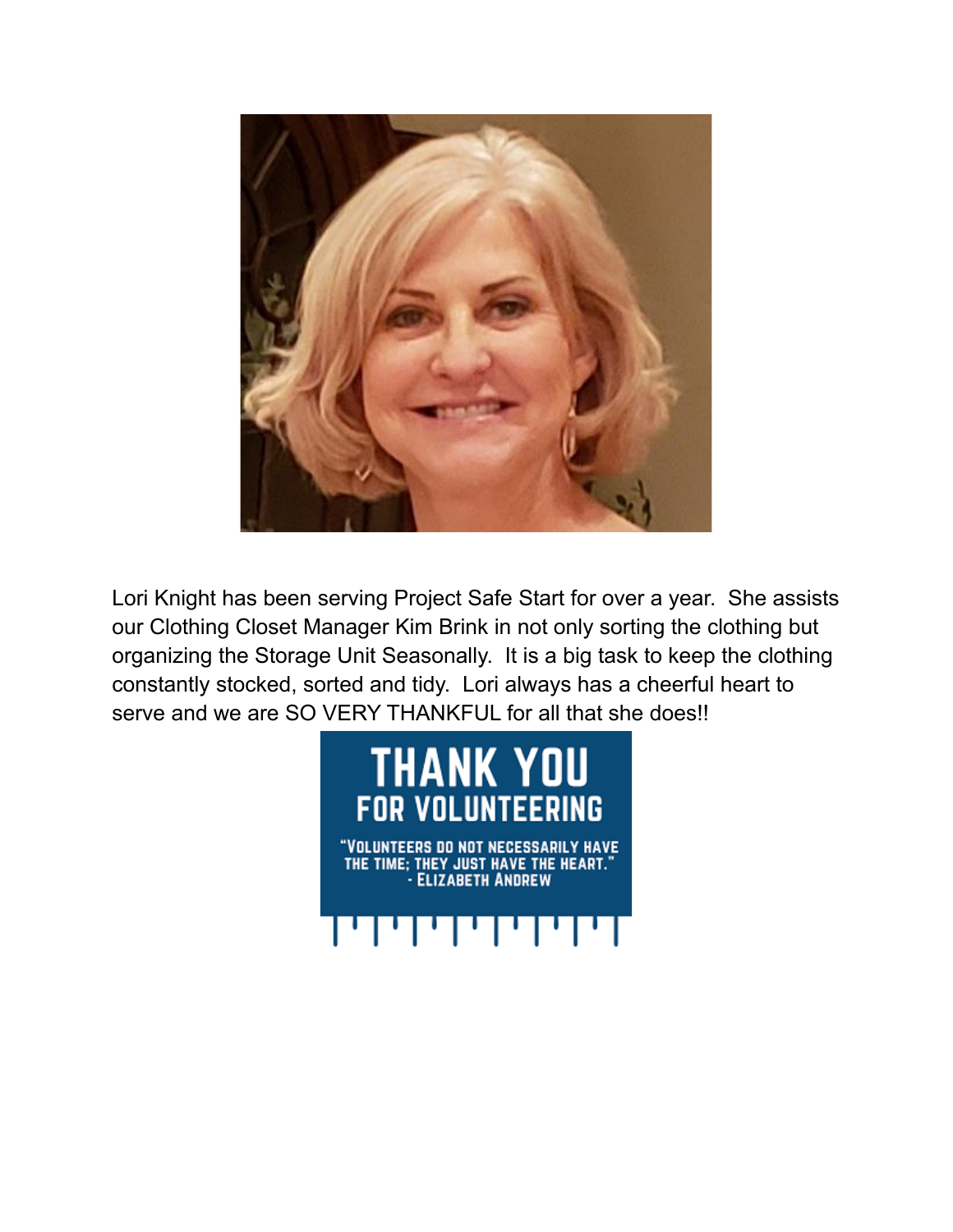

Lori Knight has been serving Project Safe Start for over a year. She assists our Clothing Closet Manager Kim Brink in not only sorting the clothing but organizing the Storage Unit Seasonally. It is a big task to keep the clothing constantly stocked, sorted and tidy. Lori always has a cheerful heart to serve and we are SO VERY THANKFUL for all that she does!!

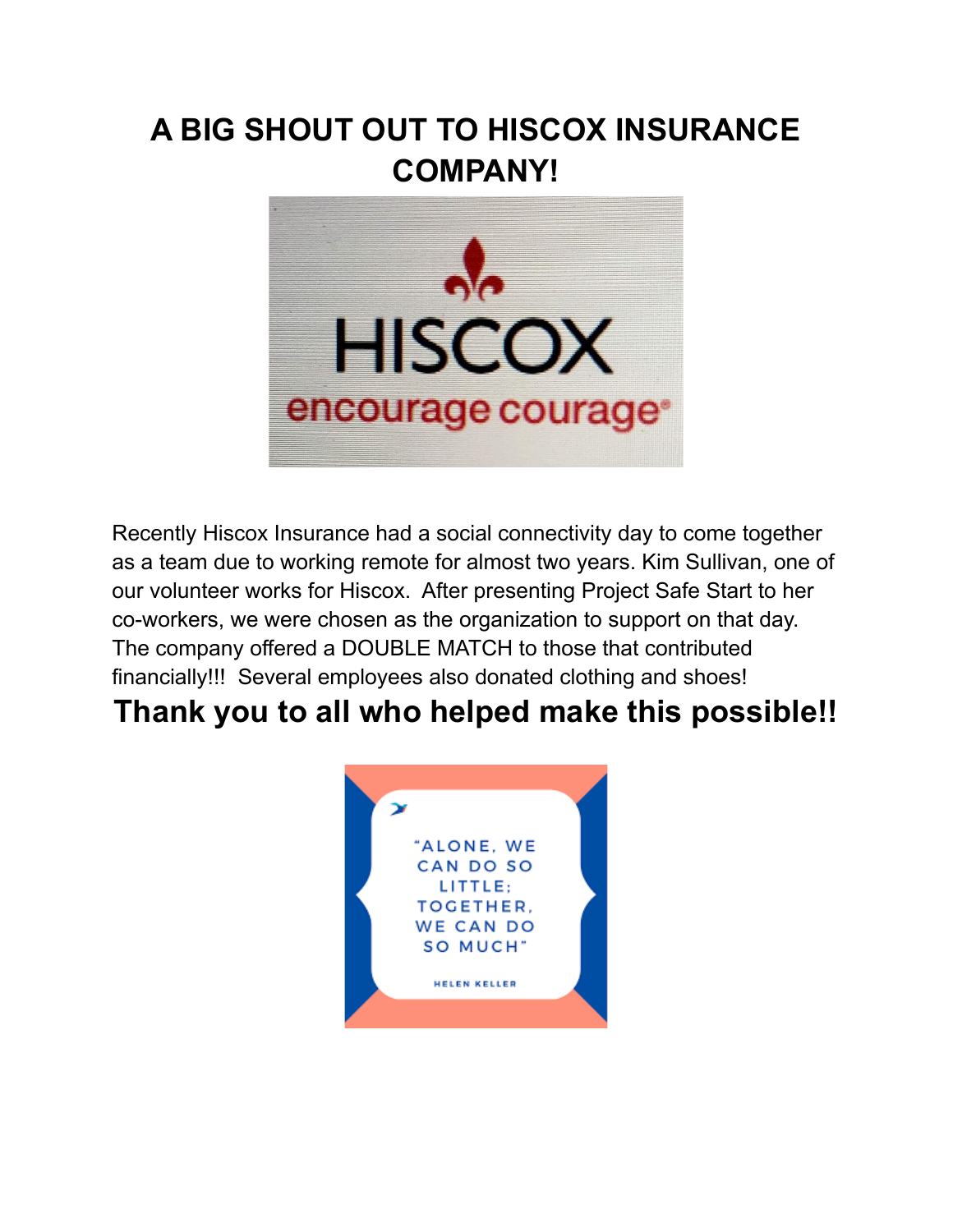## A BIG SHOUT OUT TO HISCOX INSURANCE **COMPANY!**



Recently Hiscox Insurance had a social connectivity day to come together as a team due to working remote for almost two years. Kim Sullivan, one of our volunteer works for Hiscox. After presenting Project Safe Start to her co-workers, we were chosen as the organization to support on that day. The company offered a DOUBLE MATCH to those that contributed financially!!! Several employees also donated clothing and shoes!

### Thank you to all who helped make this possible!!